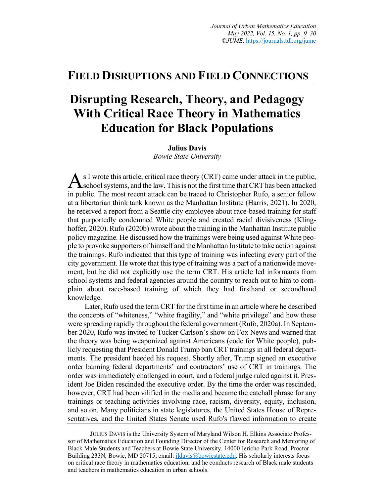# **FIELD DISRUPTIONS AND FIELD CONNECTIONS**

# **Disrupting Research, Theory, and Pedagogy With Critical Race Theory in Mathematics Education for Black Populations**

#### **Julius Davis**

*Bowie State University*

As I wrote this article, critical race theory (CRT) came under attack in the public,<br>School systems, and the law. This is not the first time that CRT has been attacked school systems, and the law. This is not the first time that CRT has been attacked in public. The most recent attack can be traced to Christopher Rufo, a senior fellow at a libertarian think tank known as the Manhattan Institute (Harris, 2021). In 2020, he received a report from a Seattle city employee about race-based training for staff that purportedly condemned White people and created racial divisiveness (Klinghoffer, 2020). Rufo (2020b) wrote about the training in the Manhattan Institute public policy magazine. He discussed how the trainings were being used against White people to provoke supporters of himself and the Manhattan Institute to take action against the trainings. Rufo indicated that this type of training was infecting every part of the city government. He wrote that this type of training was a part of a nationwide movement, but he did not explicitly use the term CRT. His article led informants from school systems and federal agencies around the country to reach out to him to complain about race-based training of which they had firsthand or secondhand knowledge.

Later, Rufo used the term CRT for the first time in an article where he described the concepts of "whiteness," "white fragility," and "white privilege" and how these were spreading rapidly throughout the federal government (Rufo, 2020a). In September 2020, Rufo was invited to Tucker Carlson's show on Fox News and warned that the theory was being weaponized against Americans (code for White people), publicly requesting that President Donald Trump ban CRT trainings in all federal departments. The president heeded his request. Shortly after, Trump signed an executive order banning federal departments' and contractors' use of CRT in trainings. The order was immediately challenged in court, and a federal judge ruled against it. President Joe Biden rescinded the executive order. By the time the order was rescinded, however, CRT had been vilified in the media and became the catchall phrase for any trainings or teaching activities involving race, racism, diversity, equity, inclusion, and so on. Many politicians in state legislatures, the United States House of Representatives, and the United States Senate used Rufo's flawed information to create

JULIUS DAVIS is the University System of Maryland Wilson H. Elkins Associate Professor of Mathematics Education and Founding Director of the Center for Research and Mentoring of Black Male Students and Teachers at Bowie State University, 14000 Jericho Park Road, Proctor Building 233N, Bowie, MD 20715; email: jldavis@bowiestate.edu. His scholarly interests focus on critical race theory in mathematics education, and he conducts research of Black male students and teachers in mathematics education in urban schools.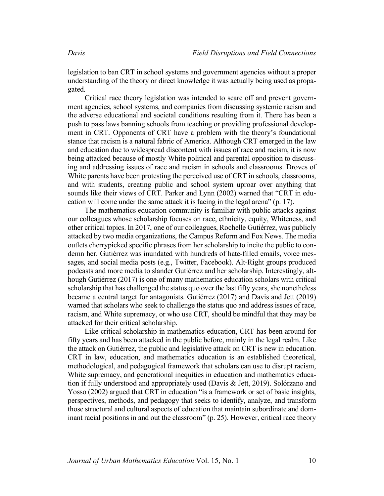legislation to ban CRT in school systems and government agencies without a proper understanding of the theory or direct knowledge it was actually being used as propagated.

Critical race theory legislation was intended to scare off and prevent government agencies, school systems, and companies from discussing systemic racism and the adverse educational and societal conditions resulting from it. There has been a push to pass laws banning schools from teaching or providing professional development in CRT. Opponents of CRT have a problem with the theory's foundational stance that racism is a natural fabric of America. Although CRT emerged in the law and education due to widespread discontent with issues of race and racism, it is now being attacked because of mostly White political and parental opposition to discussing and addressing issues of race and racism in schools and classrooms. Droves of White parents have been protesting the perceived use of CRT in schools, classrooms, and with students, creating public and school system uproar over anything that sounds like their views of CRT. Parker and Lynn (2002) warned that "CRT in education will come under the same attack it is facing in the legal arena" (p. 17).

The mathematics education community is familiar with public attacks against our colleagues whose scholarship focuses on race, ethnicity, equity, Whiteness, and other critical topics. In 2017, one of our colleagues, Rochelle Gutiérrez, was publicly attacked by two media organizations, the Campus Reform and Fox News. The media outlets cherrypicked specific phrases from her scholarship to incite the public to condemn her. Gutiérrez was inundated with hundreds of hate-filled emails, voice messages, and social media posts (e.g., Twitter, Facebook). Alt-Right groups produced podcasts and more media to slander Gutiérrez and her scholarship. Interestingly, although Gutiérrez (2017) is one of many mathematics education scholars with critical scholarship that has challenged the status quo over the last fifty years, she nonetheless became a central target for antagonists. Gutiérrez (2017) and Davis and Jett (2019) warned that scholars who seek to challenge the status quo and address issues of race, racism, and White supremacy, or who use CRT, should be mindful that they may be attacked for their critical scholarship.

Like critical scholarship in mathematics education, CRT has been around for fifty years and has been attacked in the public before, mainly in the legal realm. Like the attack on Gutiérrez, the public and legislative attack on CRT is new in education. CRT in law, education, and mathematics education is an established theoretical, methodological, and pedagogical framework that scholars can use to disrupt racism, White supremacy, and generational inequities in education and mathematics education if fully understood and appropriately used (Davis & Jett, 2019). Solórzano and Yosso (2002) argued that CRT in education "is a framework or set of basic insights, perspectives, methods, and pedagogy that seeks to identify, analyze, and transform those structural and cultural aspects of education that maintain subordinate and dominant racial positions in and out the classroom" (p. 25). However, critical race theory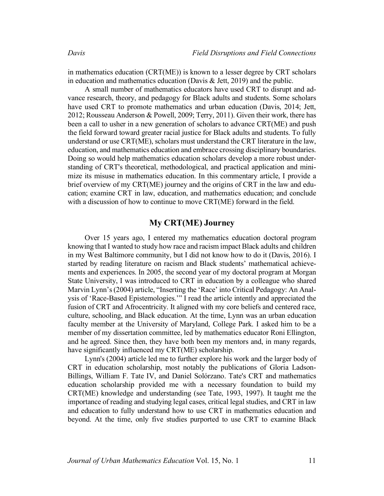in mathematics education (CRT(ME)) is known to a lesser degree by CRT scholars in education and mathematics education (Davis & Jett, 2019) and the public.

A small number of mathematics educators have used CRT to disrupt and advance research, theory, and pedagogy for Black adults and students. Some scholars have used CRT to promote mathematics and urban education (Davis, 2014; Jett, 2012; Rousseau Anderson & Powell, 2009; Terry, 2011). Given their work, there has been a call to usher in a new generation of scholars to advance CRT(ME) and push the field forward toward greater racial justice for Black adults and students. To fully understand or use CRT(ME), scholars must understand the CRT literature in the law, education, and mathematics education and embrace crossing disciplinary boundaries. Doing so would help mathematics education scholars develop a more robust understanding of CRT's theoretical, methodological, and practical application and minimize its misuse in mathematics education. In this commentary article, I provide a brief overview of my CRT(ME) journey and the origins of CRT in the law and education; examine CRT in law, education, and mathematics education; and conclude with a discussion of how to continue to move CRT(ME) forward in the field.

# **My CRT(ME) Journey**

Over 15 years ago, I entered my mathematics education doctoral program knowing that I wanted to study how race and racism impact Black adults and children in my West Baltimore community, but I did not know how to do it (Davis, 2016). I started by reading literature on racism and Black students' mathematical achievements and experiences. In 2005, the second year of my doctoral program at Morgan State University, I was introduced to CRT in education by a colleague who shared Marvin Lynn's (2004) article, "Inserting the 'Race' into Critical Pedagogy: An Analysis of 'Race-Based Epistemologies.'" I read the article intently and appreciated the fusion of CRT and Afrocentricity. It aligned with my core beliefs and centered race, culture, schooling, and Black education. At the time, Lynn was an urban education faculty member at the University of Maryland, College Park. I asked him to be a member of my dissertation committee, led by mathematics educator Roni Ellington, and he agreed. Since then, they have both been my mentors and, in many regards, have significantly influenced my CRT(ME) scholarship.

Lynn's (2004) article led me to further explore his work and the larger body of CRT in education scholarship, most notably the publications of Gloria Ladson-Billings, William F. Tate IV, and Daniel Solórzano. Tate's CRT and mathematics education scholarship provided me with a necessary foundation to build my CRT(ME) knowledge and understanding (see Tate, 1993, 1997). It taught me the importance of reading and studying legal cases, critical legal studies, and CRT in law and education to fully understand how to use CRT in mathematics education and beyond. At the time, only five studies purported to use CRT to examine Black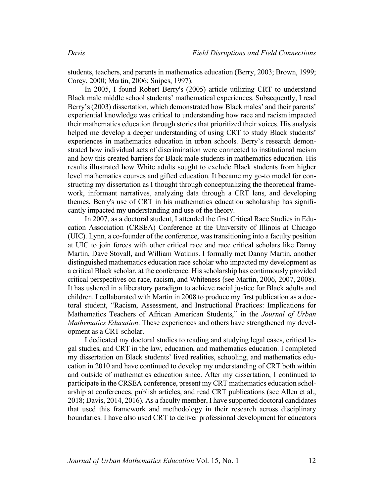students, teachers, and parents in mathematics education (Berry, 2003; Brown, 1999; Corey, 2000; Martin, 2006; Snipes, 1997).

In 2005, I found Robert Berry's (2005) article utilizing CRT to understand Black male middle school students' mathematical experiences. Subsequently, I read Berry's (2003) dissertation, which demonstrated how Black males' and their parents' experiential knowledge was critical to understanding how race and racism impacted their mathematics education through stories that prioritized their voices. His analysis helped me develop a deeper understanding of using CRT to study Black students' experiences in mathematics education in urban schools. Berry's research demonstrated how individual acts of discrimination were connected to institutional racism and how this created barriers for Black male students in mathematics education. His results illustrated how White adults sought to exclude Black students from higher level mathematics courses and gifted education. It became my go-to model for constructing my dissertation as I thought through conceptualizing the theoretical framework, informant narratives, analyzing data through a CRT lens, and developing themes. Berry's use of CRT in his mathematics education scholarship has significantly impacted my understanding and use of the theory.

In 2007, as a doctoral student, I attended the first Critical Race Studies in Education Association (CRSEA) Conference at the University of Illinois at Chicago (UIC). Lynn, a co-founder of the conference, was transitioning into a faculty position at UIC to join forces with other critical race and race critical scholars like Danny Martin, Dave Stovall, and William Watkins. I formally met Danny Martin, another distinguished mathematics education race scholar who impacted my development as a critical Black scholar, at the conference. His scholarship has continuously provided critical perspectives on race, racism, and Whiteness (see Martin, 2006, 2007, 2008). It has ushered in a liberatory paradigm to achieve racial justice for Black adults and children. I collaborated with Martin in 2008 to produce my first publication as a doctoral student, "Racism, Assessment, and Instructional Practices: Implications for Mathematics Teachers of African American Students," in the *Journal of Urban Mathematics Education*. These experiences and others have strengthened my development as a CRT scholar.

I dedicated my doctoral studies to reading and studying legal cases, critical legal studies, and CRT in the law, education, and mathematics education. I completed my dissertation on Black students' lived realities, schooling, and mathematics education in 2010 and have continued to develop my understanding of CRT both within and outside of mathematics education since. After my dissertation, I continued to participate in the CRSEA conference, present my CRT mathematics education scholarship at conferences, publish articles, and read CRT publications (see Allen et al., 2018; Davis, 2014, 2016). As a faculty member, I have supported doctoral candidates that used this framework and methodology in their research across disciplinary boundaries. I have also used CRT to deliver professional development for educators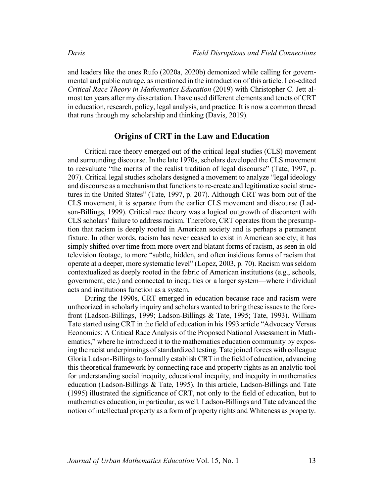and leaders like the ones Rufo (2020a, 2020b) demonized while calling for governmental and public outrage, as mentioned in the introduction of this article. I co-edited *Critical Race Theory in Mathematics Education* (2019) with Christopher C. Jett almost ten years after my dissertation. I have used different elements and tenets of CRT in education, research, policy, legal analysis, and practice. It is now a common thread that runs through my scholarship and thinking (Davis, 2019).

#### **Origins of CRT in the Law and Education**

Critical race theory emerged out of the critical legal studies (CLS) movement and surrounding discourse. In the late 1970s, scholars developed the CLS movement to reevaluate "the merits of the realist tradition of legal discourse" (Tate, 1997, p. 207). Critical legal studies scholars designed a movement to analyze "legal ideology and discourse as a mechanism that functions to re-create and legitimatize social structures in the United States" (Tate, 1997, p. 207). Although CRT was born out of the CLS movement, it is separate from the earlier CLS movement and discourse (Ladson-Billings, 1999). Critical race theory was a logical outgrowth of discontent with CLS scholars' failure to address racism. Therefore, CRT operates from the presumption that racism is deeply rooted in American society and is perhaps a permanent fixture. In other words, racism has never ceased to exist in American society; it has simply shifted over time from more overt and blatant forms of racism, as seen in old television footage, to more "subtle, hidden, and often insidious forms of racism that operate at a deeper, more systematic level" (Lopez, 2003, p. 70). Racism was seldom contextualized as deeply rooted in the fabric of American institutions (e.g., schools, government, etc.) and connected to inequities or a larger system—where individual acts and institutions function as a system.

During the 1990s, CRT emerged in education because race and racism were untheorized in scholarly inquiry and scholars wanted to bring these issues to the forefront (Ladson-Billings, 1999; Ladson-Billings & Tate, 1995; Tate, 1993). William Tate started using CRT in the field of education in his 1993 article "Advocacy Versus Economics: A Critical Race Analysis of the Proposed National Assessment in Mathematics," where he introduced it to the mathematics education community by exposing the racist underpinnings of standardized testing. Tate joined forces with colleague Gloria Ladson-Billings to formally establish CRT in the field of education, advancing this theoretical framework by connecting race and property rights as an analytic tool for understanding social inequity, educational inequity, and inequity in mathematics education (Ladson-Billings & Tate, 1995). In this article, Ladson-Billings and Tate (1995) illustrated the significance of CRT, not only to the field of education, but to mathematics education, in particular, as well. Ladson-Billings and Tate advanced the notion of intellectual property as a form of property rights and Whiteness as property.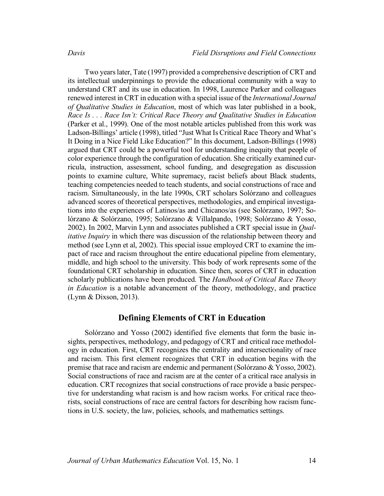Two years later, Tate (1997) provided a comprehensive description of CRT and its intellectual underpinnings to provide the educational community with a way to understand CRT and its use in education. In 1998, Laurence Parker and colleagues renewed interest in CRT in education with a special issue of the *International Journal of Qualitative Studies in Education*, most of which was later published in a book, *Race Is . . . Race Isn't: Critical Race Theory and Qualitative Studies in Education* (Parker et al., 1999). One of the most notable articles published from this work was Ladson-Billings' article (1998), titled "Just What Is Critical Race Theory and What's It Doing in a Nice Field Like Education?" In this document, Ladson-Billings (1998) argued that CRT could be a powerful tool for understanding inequity that people of color experience through the configuration of education. She critically examined curricula, instruction, assessment, school funding, and desegregation as discussion points to examine culture, White supremacy, racist beliefs about Black students, teaching competencies needed to teach students, and social constructions of race and racism. Simultaneously, in the late 1990s, CRT scholars Solórzano and colleagues advanced scores of theoretical perspectives, methodologies, and empirical investigations into the experiences of Latinos/as and Chicanos/as (see Solórzano, 1997; Solórzano & Solórzano, 1995; Solórzano & Villalpando, 1998; Solórzano & Yosso, 2002). In 2002, Marvin Lynn and associates published a CRT special issue in *Qualitative Inquiry* in which there was discussion of the relationship between theory and method (see Lynn et al, 2002). This special issue employed CRT to examine the impact of race and racism throughout the entire educational pipeline from elementary, middle, and high school to the university. This body of work represents some of the foundational CRT scholarship in education. Since then, scores of CRT in education scholarly publications have been produced. The *Handbook of Critical Race Theory in Education* is a notable advancement of the theory, methodology, and practice (Lynn & Dixson, 2013).

## **Defining Elements of CRT in Education**

Solórzano and Yosso (2002) identified five elements that form the basic insights, perspectives, methodology, and pedagogy of CRT and critical race methodology in education. First, CRT recognizes the centrality and intersectionality of race and racism. This first element recognizes that CRT in education begins with the premise that race and racism are endemic and permanent (Solórzano & Yosso, 2002). Social constructions of race and racism are at the center of a critical race analysis in education. CRT recognizes that social constructions of race provide a basic perspective for understanding what racism is and how racism works. For critical race theorists, social constructions of race are central factors for describing how racism functions in U.S. society, the law, policies, schools, and mathematics settings.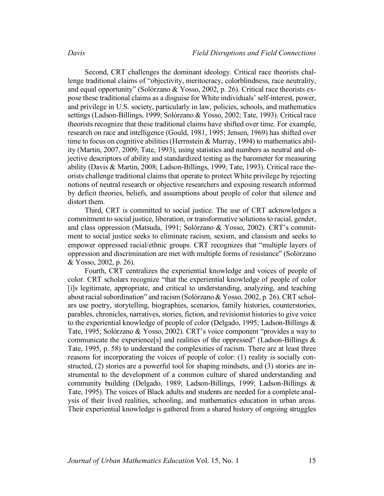Second, CRT challenges the dominant ideology. Critical race theorists challenge traditional claims of "objectivity, meritocracy, colorblindness, race neutrality, and equal opportunity" (Solórzano & Yosso, 2002, p. 26). Critical race theorists expose these traditional claims as a disguise for White individuals' self-interest, power, and privilege in U.S. society, particularly in law, policies, schools, and mathematics settings (Ladson-Billings, 1999; Solórzano & Yosso, 2002; Tate, 1993). Critical race theorists recognize that these traditional claims have shifted over time. For example, research on race and intelligence (Gould, 1981, 1995; Jensen, 1969) has shifted over time to focus on cognitive abilities (Herrnstein & Murray, 1994) to mathematics ability (Martin, 2007, 2009; Tate, 1993), using statistics and numbers as neutral and objective descriptors of ability and standardized testing as the barometer for measuring ability (Davis & Martin, 2008; Ladson-Billings, 1999; Tate, 1993). Critical race theorists challenge traditional claims that operate to protect White privilege by rejecting notions of neutral research or objective researchers and exposing research informed by deficit theories, beliefs, and assumptions about people of color that silence and distort them.

Third, CRT is committed to social justice. The use of CRT acknowledges a commitment to social justice, liberation, or transformative solutions to racial, gender, and class oppression (Matsuda, 1991; Solórzano & Yosso, 2002). CRT's commitment to social justice seeks to eliminate racism, sexism, and classism and seeks to empower oppressed racial/ethnic groups. CRT recognizes that "multiple layers of oppression and discrimination are met with multiple forms of resistance" (Solórzano & Yosso, 2002, p. 26).

Fourth, CRT centralizes the experiential knowledge and voices of people of color. CRT scholars recognize "that the experiential knowledge of people of color [i]s legitimate, appropriate, and critical to understanding, analyzing, and teaching about racial subordination" and racism (Solórzano & Yosso, 2002, p. 26). CRT scholars use poetry, storytelling, biographies, scenarios, family histories, counterstories, parables, chronicles, narratives, stories, fiction, and revisionist histories to give voice to the experiential knowledge of people of color (Delgado, 1995; Ladson-Billings & Tate, 1995; Solórzano & Yosso, 2002). CRT's voice component "provides a way to communicate the experience [s] and realities of the oppressed" (Ladson-Billings  $\&$ Tate, 1995, p. 58) to understand the complexities of racism. There are at least three reasons for incorporating the voices of people of color: (1) reality is socially constructed, (2) stories are a powerful tool for shaping mindsets, and (3) stories are instrumental to the development of a common culture of shared understanding and community building (Delgado, 1989; Ladson-Billings, 1999; Ladson-Billings & Tate, 1995). The voices of Black adults and students are needed for a complete analysis of their lived realities, schooling, and mathematics education in urban areas. Their experiential knowledge is gathered from a shared history of ongoing struggles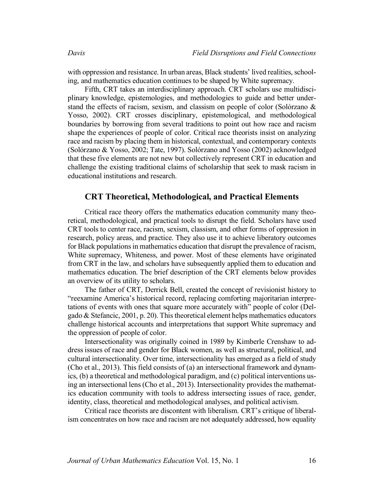with oppression and resistance. In urban areas, Black students' lived realities, schooling, and mathematics education continues to be shaped by White supremacy.

Fifth, CRT takes an interdisciplinary approach. CRT scholars use multidisciplinary knowledge, epistemologies, and methodologies to guide and better understand the effects of racism, sexism, and classism on people of color (Solórzano & Yosso, 2002). CRT crosses disciplinary, epistemological, and methodological boundaries by borrowing from several traditions to point out how race and racism shape the experiences of people of color. Critical race theorists insist on analyzing race and racism by placing them in historical, contextual, and contemporary contexts (Solórzano & Yosso, 2002; Tate, 1997). Solórzano and Yosso (2002) acknowledged that these five elements are not new but collectively represent CRT in education and challenge the existing traditional claims of scholarship that seek to mask racism in educational institutions and research.

#### **CRT Theoretical, Methodological, and Practical Elements**

Critical race theory offers the mathematics education community many theoretical, methodological, and practical tools to disrupt the field. Scholars have used CRT tools to center race, racism, sexism, classism, and other forms of oppression in research, policy areas, and practice. They also use it to achieve liberatory outcomes for Black populations in mathematics education that disrupt the prevalence of racism, White supremacy, Whiteness, and power. Most of these elements have originated from CRT in the law, and scholars have subsequently applied them to education and mathematics education. The brief description of the CRT elements below provides an overview of its utility to scholars.

The father of CRT, Derrick Bell, created the concept of revisionist history to "reexamine America's historical record, replacing comforting majoritarian interpretations of events with ones that square more accurately with" people of color (Delgado & Stefancic, 2001, p. 20). This theoretical element helps mathematics educators challenge historical accounts and interpretations that support White supremacy and the oppression of people of color.

Intersectionality was originally coined in 1989 by Kimberle Crenshaw to address issues of race and gender for Black women, as well as structural, political, and cultural intersectionality. Over time, intersectionality has emerged as a field of study (Cho et al., 2013). This field consists of (a) an intersectional framework and dynamics, (b) a theoretical and methodological paradigm, and (c) political interventions using an intersectional lens(Cho et al., 2013). Intersectionality provides the mathematics education community with tools to address intersecting issues of race, gender, identity, class, theoretical and methodological analyses, and political activism.

Critical race theorists are discontent with liberalism. CRT's critique of liberalism concentrates on how race and racism are not adequately addressed, how equality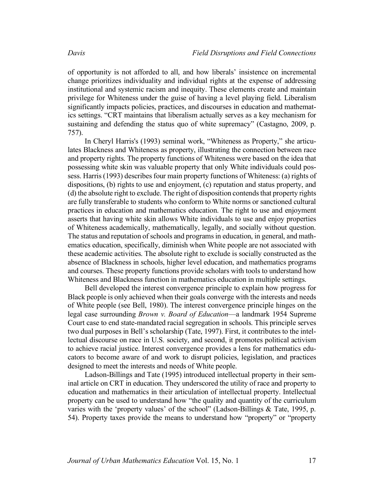of opportunity is not afforded to all, and how liberals' insistence on incremental change prioritizes individuality and individual rights at the expense of addressing institutional and systemic racism and inequity. These elements create and maintain privilege for Whiteness under the guise of having a level playing field. Liberalism significantly impacts policies, practices, and discourses in education and mathematics settings. "CRT maintains that liberalism actually serves as a key mechanism for sustaining and defending the status quo of white supremacy" (Castagno, 2009, p. 757).

In Cheryl Harris's (1993) seminal work, "Whiteness as Property," she articulates Blackness and Whiteness as property, illustrating the connection between race and property rights. The property functions of Whiteness were based on the idea that possessing white skin was valuable property that only White individuals could possess. Harris (1993) describes four main property functions of Whiteness: (a) rights of dispositions, (b) rights to use and enjoyment, (c) reputation and status property, and (d) the absolute right to exclude. The right of disposition contends that property rights are fully transferable to students who conform to White norms or sanctioned cultural practices in education and mathematics education. The right to use and enjoyment asserts that having white skin allows White individuals to use and enjoy properties of Whiteness academically, mathematically, legally, and socially without question. The status and reputation of schools and programs in education, in general, and mathematics education, specifically, diminish when White people are not associated with these academic activities. The absolute right to exclude is socially constructed as the absence of Blackness in schools, higher level education, and mathematics programs and courses. These property functions provide scholars with tools to understand how Whiteness and Blackness function in mathematics education in multiple settings.

Bell developed the interest convergence principle to explain how progress for Black people is only achieved when their goals converge with the interests and needs of White people (see Bell, 1980). The interest convergence principle hinges on the legal case surrounding *Brown v. Board of Education*—a landmark 1954 Supreme Court case to end state-mandated racial segregation in schools. This principle serves two dual purposes in Bell's scholarship (Tate, 1997). First, it contributes to the intellectual discourse on race in U.S. society, and second, it promotes political activism to achieve racial justice. Interest convergence provides a lens for mathematics educators to become aware of and work to disrupt policies, legislation, and practices designed to meet the interests and needs of White people.

Ladson-Billings and Tate (1995) introduced intellectual property in their seminal article on CRT in education. They underscored the utility of race and property to education and mathematics in their articulation of intellectual property. Intellectual property can be used to understand how "the quality and quantity of the curriculum varies with the 'property values' of the school" (Ladson-Billings & Tate, 1995, p. 54). Property taxes provide the means to understand how "property" or "property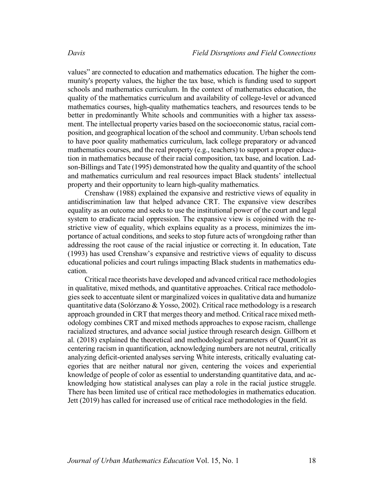values" are connected to education and mathematics education. The higher the community's property values, the higher the tax base, which is funding used to support schools and mathematics curriculum. In the context of mathematics education, the quality of the mathematics curriculum and availability of college-level or advanced mathematics courses, high-quality mathematics teachers, and resources tends to be better in predominantly White schools and communities with a higher tax assessment. The intellectual property varies based on the socioeconomic status, racial composition, and geographical location of the school and community. Urban schools tend to have poor quality mathematics curriculum, lack college preparatory or advanced mathematics courses, and the real property (e.g., teachers) to support a proper education in mathematics because of their racial composition, tax base, and location. Ladson-Billings and Tate (1995) demonstrated how the quality and quantity of the school and mathematics curriculum and real resources impact Black students' intellectual property and their opportunity to learn high-quality mathematics.

Crenshaw (1988) explained the expansive and restrictive views of equality in antidiscrimination law that helped advance CRT. The expansive view describes equality as an outcome and seeks to use the institutional power of the court and legal system to eradicate racial oppression. The expansive view is cojoined with the restrictive view of equality, which explains equality as a process, minimizes the importance of actual conditions, and seeks to stop future acts of wrongdoing rather than addressing the root cause of the racial injustice or correcting it. In education, Tate (1993) has used Crenshaw's expansive and restrictive views of equality to discuss educational policies and court rulings impacting Black students in mathematics education.

Critical race theorists have developed and advanced critical race methodologies in qualitative, mixed methods, and quantitative approaches. Critical race methodologies seek to accentuate silent or marginalized voices in qualitative data and humanize quantitative data (Solórzano & Yosso, 2002). Critical race methodology is a research approach grounded in CRT that merges theory and method. Critical race mixed methodology combines CRT and mixed methods approaches to expose racism, challenge racialized structures, and advance social justice through research design. Gillborn et al. (2018) explained the theoretical and methodological parameters of QuantCrit as centering racism in quantification, acknowledging numbers are not neutral, critically analyzing deficit-oriented analyses serving White interests, critically evaluating categories that are neither natural nor given, centering the voices and experiential knowledge of people of color as essential to understanding quantitative data, and acknowledging how statistical analyses can play a role in the racial justice struggle. There has been limited use of critical race methodologies in mathematics education. Jett (2019) has called for increased use of critical race methodologies in the field.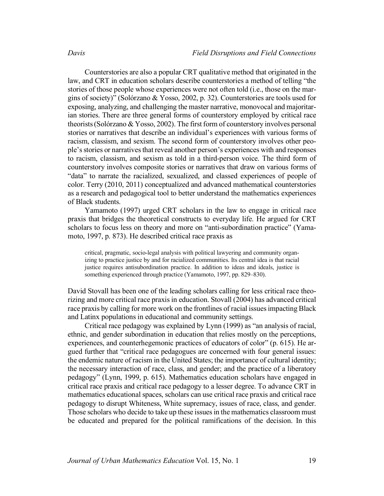Counterstories are also a popular CRT qualitative method that originated in the law, and CRT in education scholars describe counterstories a method of telling "the stories of those people whose experiences were not often told (i.e., those on the margins of society)" (Solórzano & Yosso, 2002, p. 32). Counterstories are tools used for exposing, analyzing, and challenging the master narrative, monovocal and majoritarian stories. There are three general forms of counterstory employed by critical race theorists (Solórzano & Yosso, 2002). The first form of counterstory involves personal stories or narratives that describe an individual's experiences with various forms of racism, classism, and sexism. The second form of counterstory involves other people's stories or narratives that reveal another person's experiences with and responses to racism, classism, and sexism as told in a third-person voice. The third form of counterstory involves composite stories or narratives that draw on various forms of "data" to narrate the racialized, sexualized, and classed experiences of people of color. Terry (2010, 2011) conceptualized and advanced mathematical counterstories as a research and pedagogical tool to better understand the mathematics experiences of Black students.

Yamamoto (1997) urged CRT scholars in the law to engage in critical race praxis that bridges the theoretical constructs to everyday life. He argued for CRT scholars to focus less on theory and more on "anti-subordination practice" (Yamamoto, 1997, p. 873). He described critical race praxis as

critical, pragmatic, socio-legal analysis with political lawyering and community organizing to practice justice by and for racialized communities. Its central idea is that racial justice requires antisubordination practice. In addition to ideas and ideals, justice is something experienced through practice (Yamamoto, 1997, pp. 829–830).

David Stovall has been one of the leading scholars calling for less critical race theorizing and more critical race praxis in education. Stovall (2004) has advanced critical race praxis by calling for more work on the frontlines of racial issues impacting Black and Latinx populations in educational and community settings.

Critical race pedagogy was explained by Lynn (1999) as "an analysis of racial, ethnic, and gender subordination in education that relies mostly on the perceptions, experiences, and counterhegemonic practices of educators of color" (p. 615). He argued further that "critical race pedagogues are concerned with four general issues: the endemic nature of racism in the United States; the importance of cultural identity; the necessary interaction of race, class, and gender; and the practice of a liberatory pedagogy" (Lynn, 1999, p. 615). Mathematics education scholars have engaged in critical race praxis and critical race pedagogy to a lesser degree. To advance CRT in mathematics educational spaces, scholars can use critical race praxis and critical race pedagogy to disrupt Whiteness, White supremacy, issues of race, class, and gender. Those scholars who decide to take up these issues in the mathematics classroom must be educated and prepared for the political ramifications of the decision. In this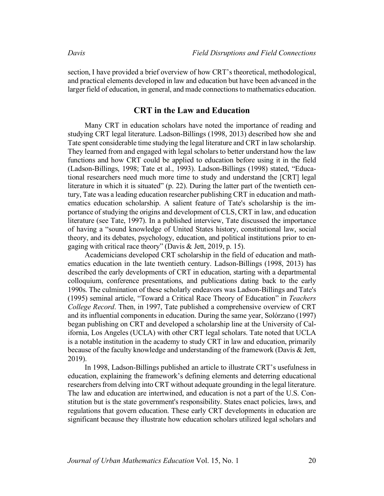section, I have provided a brief overview of how CRT's theoretical, methodological, and practical elements developed in law and education but have been advanced in the larger field of education, in general, and made connections to mathematics education.

## **CRT in the Law and Education**

Many CRT in education scholars have noted the importance of reading and studying CRT legal literature. Ladson-Billings (1998, 2013) described how she and Tate spent considerable time studying the legal literature and CRT in law scholarship. They learned from and engaged with legal scholars to better understand how the law functions and how CRT could be applied to education before using it in the field (Ladson-Billings, 1998; Tate et al., 1993). Ladson-Billings (1998) stated, "Educational researchers need much more time to study and understand the [CRT] legal literature in which it is situated" (p. 22). During the latter part of the twentieth century, Tate was a leading education researcher publishing CRT in education and mathematics education scholarship. A salient feature of Tate's scholarship is the importance of studying the origins and development of CLS, CRT in law, and education literature (see Tate, 1997). In a published interview, Tate discussed the importance of having a "sound knowledge of United States history, constitutional law, social theory, and its debates, psychology, education, and political institutions prior to engaging with critical race theory" (Davis & Jett, 2019, p. 15).

Academicians developed CRT scholarship in the field of education and mathematics education in the late twentieth century. Ladson-Billings (1998, 2013) has described the early developments of CRT in education, starting with a departmental colloquium, conference presentations, and publications dating back to the early 1990s. The culmination of these scholarly endeavors was Ladson-Billings and Tate's (1995) seminal article, "Toward a Critical Race Theory of Education" in *Teachers College Record*. Then, in 1997, Tate published a comprehensive overview of CRT and its influential components in education. During the same year, Solórzano (1997) began publishing on CRT and developed a scholarship line at the University of California, Los Angeles (UCLA) with other CRT legal scholars. Tate noted that UCLA is a notable institution in the academy to study CRT in law and education, primarily because of the faculty knowledge and understanding of the framework (Davis & Jett, 2019).

In 1998, Ladson-Billings published an article to illustrate CRT's usefulness in education, explaining the framework's defining elements and deterring educational researchers from delving into CRT without adequate grounding in the legal literature. The law and education are intertwined, and education is not a part of the U.S. Constitution but is the state government's responsibility. States enact policies, laws, and regulations that govern education. These early CRT developments in education are significant because they illustrate how education scholars utilized legal scholars and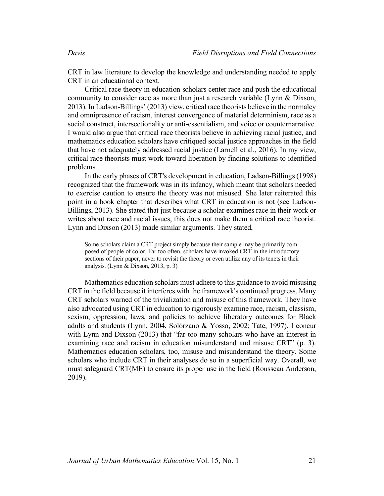CRT in law literature to develop the knowledge and understanding needed to apply CRT in an educational context.

Critical race theory in education scholars center race and push the educational community to consider race as more than just a research variable (Lynn & Dixson, 2013). In Ladson-Billings' (2013) view, critical race theorists believe in the normalcy and omnipresence of racism, interest convergence of material determinism, race as a social construct, intersectionality or anti-essentialism, and voice or counternarrative. I would also argue that critical race theorists believe in achieving racial justice, and mathematics education scholars have critiqued social justice approaches in the field that have not adequately addressed racial justice (Larnell et al., 2016). In my view, critical race theorists must work toward liberation by finding solutions to identified problems.

In the early phases of CRT's development in education, Ladson-Billings (1998) recognized that the framework was in its infancy, which meant that scholars needed to exercise caution to ensure the theory was not misused. She later reiterated this point in a book chapter that describes what CRT in education is not (see Ladson-Billings, 2013). She stated that just because a scholar examines race in their work or writes about race and racial issues, this does not make them a critical race theorist. Lynn and Dixson (2013) made similar arguments. They stated,

Some scholars claim a CRT project simply because their sample may be primarily composed of people of color. Far too often, scholars have invoked CRT in the introductory sections of their paper, never to revisit the theory or even utilize any of its tenets in their analysis. (Lynn & Dixson, 2013, p. 3)

Mathematics education scholars must adhere to this guidance to avoid misusing CRT in the field because it interferes with the framework's continued progress. Many CRT scholars warned of the trivialization and misuse of this framework. They have also advocated using CRT in education to rigorously examine race, racism, classism, sexism, oppression, laws, and policies to achieve liberatory outcomes for Black adults and students (Lynn, 2004, Solórzano & Yosso, 2002; Tate, 1997). I concur with Lynn and Dixson (2013) that "far too many scholars who have an interest in examining race and racism in education misunderstand and misuse CRT" (p. 3). Mathematics education scholars, too, misuse and misunderstand the theory. Some scholars who include CRT in their analyses do so in a superficial way. Overall, we must safeguard CRT(ME) to ensure its proper use in the field (Rousseau Anderson, 2019).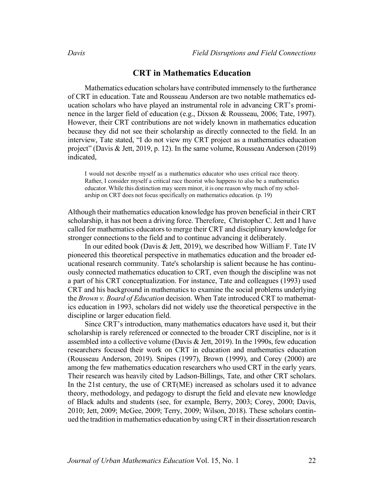#### **CRT in Mathematics Education**

Mathematics education scholars have contributed immensely to the furtherance of CRT in education. Tate and Rousseau Anderson are two notable mathematics education scholars who have played an instrumental role in advancing CRT's prominence in the larger field of education (e.g., Dixson & Rousseau, 2006; Tate, 1997). However, their CRT contributions are not widely known in mathematics education because they did not see their scholarship as directly connected to the field. In an interview, Tate stated, "I do not view my CRT project as a mathematics education project" (Davis & Jett, 2019, p. 12). In the same volume, Rousseau Anderson (2019) indicated,

I would not describe myself as a mathematics educator who uses critical race theory. Rather, I consider myself a critical race theorist who happens to also be a mathematics educator. While this distinction may seem minor, it is one reason why much of my scholarship on CRT does not focus specifically on mathematics education. (p. 19)

Although their mathematics education knowledge has proven beneficial in their CRT scholarship, it has not been a driving force. Therefore, Christopher C. Jett and I have called for mathematics educators to merge their CRT and disciplinary knowledge for stronger connections to the field and to continue advancing it deliberately.

In our edited book (Davis & Jett, 2019), we described how William F. Tate IV pioneered this theoretical perspective in mathematics education and the broader educational research community. Tate's scholarship is salient because he has continuously connected mathematics education to CRT, even though the discipline was not a part of his CRT conceptualization. For instance, Tate and colleagues (1993) used CRT and his background in mathematics to examine the social problems underlying the *Brown v. Board of Education* decision. When Tate introduced CRT to mathematics education in 1993, scholars did not widely use the theoretical perspective in the discipline or larger education field.

Since CRT's introduction, many mathematics educators have used it, but their scholarship is rarely referenced or connected to the broader CRT discipline, nor is it assembled into a collective volume (Davis & Jett, 2019). In the 1990s, few education researchers focused their work on CRT in education and mathematics education (Rousseau Anderson, 2019). Snipes (1997), Brown (1999), and Corey (2000) are among the few mathematics education researchers who used CRT in the early years. Their research was heavily cited by Ladson-Billings, Tate, and other CRT scholars. In the 21st century, the use of CRT(ME) increased as scholars used it to advance theory, methodology, and pedagogy to disrupt the field and elevate new knowledge of Black adults and students (see, for example, Berry, 2003; Corey, 2000; Davis, 2010; Jett, 2009; McGee, 2009; Terry, 2009; Wilson, 2018). These scholars continued the tradition in mathematics education by usingCRT in their dissertation research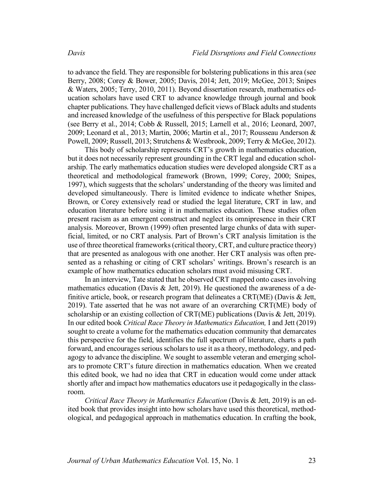to advance the field. They are responsible for bolstering publications in this area (see Berry, 2008; Corey & Bower, 2005; Davis, 2014; Jett, 2019; McGee, 2013; Snipes & Waters, 2005; Terry, 2010, 2011). Beyond dissertation research, mathematics education scholars have used CRT to advance knowledge through journal and book chapter publications. They have challenged deficit views of Black adults and students and increased knowledge of the usefulness of this perspective for Black populations (see Berry et al., 2014; Cobb & Russell, 2015; Larnell et al., 2016; Leonard, 2007, 2009; Leonard et al., 2013; Martin, 2006; Martin et al., 2017; Rousseau Anderson & Powell, 2009; Russell, 2013; Strutchens & Westbrook, 2009; Terry & McGee, 2012).

This body of scholarship represents CRT's growth in mathematics education, but it does not necessarily represent grounding in the CRT legal and education scholarship. The early mathematics education studies were developed alongside CRT as a theoretical and methodological framework (Brown, 1999; Corey, 2000; Snipes, 1997), which suggests that the scholars' understanding of the theory was limited and developed simultaneously. There is limited evidence to indicate whether Snipes, Brown, or Corey extensively read or studied the legal literature, CRT in law, and education literature before using it in mathematics education. These studies often present racism as an emergent construct and neglect its omnipresence in their CRT analysis. Moreover, Brown (1999) often presented large chunks of data with superficial, limited, or no CRT analysis. Part of Brown's CRT analysis limitation is the use of three theoretical frameworks (critical theory, CRT, and culture practice theory) that are presented as analogous with one another. Her CRT analysis was often presented as a rehashing or citing of CRT scholars' writings. Brown's research is an example of how mathematics education scholars must avoid misusing CRT.

In an interview, Tate stated that he observed CRT mapped onto cases involving mathematics education (Davis & Jett, 2019). He questioned the awareness of a definitive article, book, or research program that delineates a CRT(ME) (Davis & Jett, 2019). Tate asserted that he was not aware of an overarching CRT(ME) body of scholarship or an existing collection of CRT(ME) publications (Davis & Jett, 2019). In our edited book *Critical Race Theory in Mathematics Education,* I and Jett (2019) sought to create a volume for the mathematics education community that demarcates this perspective for the field, identifies the full spectrum of literature, charts a path forward, and encourages serious scholars to use it as a theory, methodology, and pedagogy to advance the discipline. We sought to assemble veteran and emerging scholars to promote CRT's future direction in mathematics education. When we created this edited book, we had no idea that CRT in education would come under attack shortly after and impact how mathematics educators use it pedagogically in the classroom.

*Critical Race Theory in Mathematics Education* (Davis & Jett, 2019) is an edited book that provides insight into how scholars have used this theoretical, methodological, and pedagogical approach in mathematics education. In crafting the book,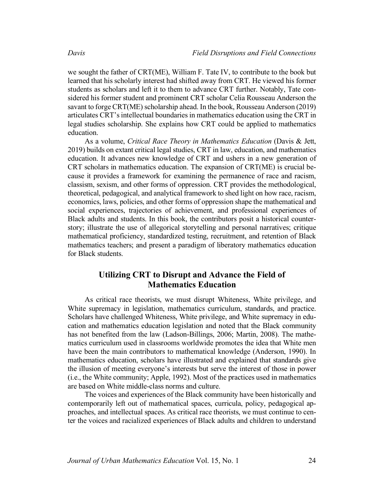we sought the father of CRT(ME), William F. Tate IV, to contribute to the book but learned that his scholarly interest had shifted away from CRT. He viewed his former students as scholars and left it to them to advance CRT further. Notably, Tate considered his former student and prominent CRT scholar Celia Rousseau Anderson the savant to forge CRT(ME) scholarship ahead. In the book, Rousseau Anderson (2019) articulates CRT's intellectual boundaries in mathematics education using the CRT in legal studies scholarship. She explains how CRT could be applied to mathematics education.

As a volume, *Critical Race Theory in Mathematics Education* (Davis & Jett, 2019) builds on extant critical legal studies, CRT in law, education, and mathematics education. It advances new knowledge of CRT and ushers in a new generation of CRT scholars in mathematics education. The expansion of CRT(ME) is crucial because it provides a framework for examining the permanence of race and racism, classism, sexism, and other forms of oppression. CRT provides the methodological, theoretical, pedagogical, and analytical framework to shed light on how race, racism, economics, laws, policies, and other forms of oppression shape the mathematical and social experiences, trajectories of achievement, and professional experiences of Black adults and students. In this book, the contributors posit a historical counterstory; illustrate the use of allegorical storytelling and personal narratives; critique mathematical proficiency, standardized testing, recruitment, and retention of Black mathematics teachers; and present a paradigm of liberatory mathematics education for Black students.

# **Utilizing CRT to Disrupt and Advance the Field of Mathematics Education**

As critical race theorists, we must disrupt Whiteness, White privilege, and White supremacy in legislation, mathematics curriculum, standards, and practice. Scholars have challenged Whiteness, White privilege, and White supremacy in education and mathematics education legislation and noted that the Black community has not benefited from the law (Ladson-Billings, 2006; Martin, 2008). The mathematics curriculum used in classrooms worldwide promotes the idea that White men have been the main contributors to mathematical knowledge (Anderson, 1990). In mathematics education, scholars have illustrated and explained that standards give the illusion of meeting everyone's interests but serve the interest of those in power (i.e., the White community; Apple, 1992). Most of the practices used in mathematics are based on White middle-class norms and culture.

The voices and experiences of the Black community have been historically and contemporarily left out of mathematical spaces, curricula, policy, pedagogical approaches, and intellectual spaces. As critical race theorists, we must continue to center the voices and racialized experiences of Black adults and children to understand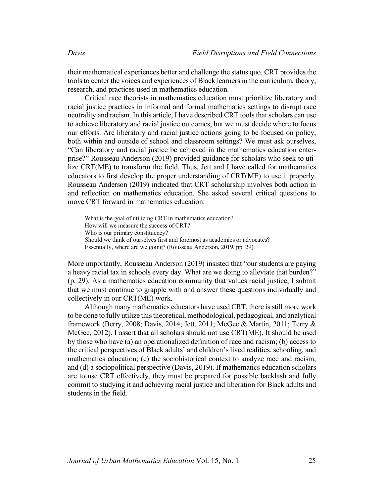their mathematical experiences better and challenge the status quo. CRT provides the tools to center the voices and experiences of Black learners in the curriculum, theory, research, and practices used in mathematics education.

Critical race theorists in mathematics education must prioritize liberatory and racial justice practices in informal and formal mathematics settings to disrupt race neutrality and racism. In this article, I have described CRT toolsthat scholars can use to achieve liberatory and racial justice outcomes, but we must decide where to focus our efforts. Are liberatory and racial justice actions going to be focused on policy, both within and outside of school and classroom settings? We must ask ourselves, "Can liberatory and racial justice be achieved in the mathematics education enterprise?" Rousseau Anderson (2019) provided guidance for scholars who seek to utilize CRT(ME) to transform the field. Thus, Jett and I have called for mathematics educators to first develop the proper understanding of CRT(ME) to use it properly. Rousseau Anderson (2019) indicated that CRT scholarship involves both action in and reflection on mathematics education. She asked several critical questions to move CRT forward in mathematics education:

What is the goal of utilizing CRT in mathematics education? How will we measure the success of CRT? Who is our primary constituency? Should we think of ourselves first and foremost as academics or advocates? Essentially, where are we going? (Rousseau Anderson, 2019, pp. 29).

More importantly, Rousseau Anderson (2019) insisted that "our students are paying a heavy racial tax in schools every day. What are we doing to alleviate that burden?" (p. 29). As a mathematics education community that values racial justice, I submit that we must continue to grapple with and answer these questions individually and collectively in our CRT(ME) work.

Although many mathematics educators have used CRT, there is still more work to be done to fully utilize this theoretical, methodological, pedagogical, and analytical framework (Berry, 2008; Davis, 2014; Jett, 2011; McGee & Martin, 2011; Terry & McGee, 2012). I assert that all scholars should not use CRT(ME). It should be used by those who have (a) an operationalized definition of race and racism; (b) access to the critical perspectives of Black adults' and children'slived realities, schooling, and mathematics education; (c) the sociohistorical context to analyze race and racism; and (d) a sociopolitical perspective (Davis, 2019). If mathematics education scholars are to use CRT effectively, they must be prepared for possible backlash and fully commit to studying it and achieving racial justice and liberation for Black adults and students in the field.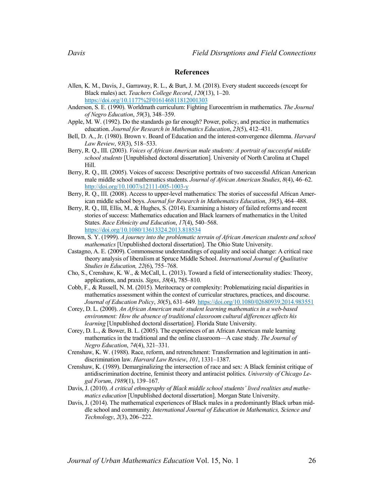#### **References**

- Allen, K. M., Davis, J., Garraway, R. L., & Burt, J. M. (2018). Every student succeeds (except for Black males) act. *Teachers College Record*, *120*(13), 1–20. https://doi.org/10.1177%2F016146811812001303
- Anderson, S. E. (1990). Worldmath curriculum: Fighting Eurocentrism in mathematics. *The Journal of Negro Education*, *59*(3), 348–359.
- Apple, M. W. (1992). Do the standards go far enough? Power, policy, and practice in mathematics education. *Journal for Research in Mathematics Education*, *23*(5), 412–431.
- Bell, D. A., Jr. (1980). Brown v. Board of Education and the interest-convergence dilemma. *Harvard Law Review*, *93*(3), 518–533.
- Berry, R. Q., III. (2003). *Voices of African American male students: A portrait of successful middle school students* [Unpublished doctoral dissertation]. University of North Carolina at Chapel Hill.
- Berry, R. Q., III. (2005). Voices of success: Descriptive portraits of two successful African American male middle school mathematics students. *Journal of African American Studies*, *8*(4), 46–62. http://doi.org/10.1007/s12111-005-1003-y
- Berry, R. Q., III. (2008). Access to upper-level mathematics: The stories of successful African American middle school boys. *Journal for Research in Mathematics Education*, *39*(5), 464–488.
- Berry, R. Q., III, Ellis, M., & Hughes, S. (2014). Examining a history of failed reforms and recent stories of success: Mathematics education and Black learners of mathematics in the United States. *Race Ethnicity and Education*, *17*(4), 540–568. https://doi.org/10.1080/13613324.2013.818534
- Brown, S. Y. (1999). *A journey into the problematic terrain of African American students and school mathematics* [Unpublished doctoral dissertation]. The Ohio State University.
- Castagno, A. E. (2009). Commonsense understandings of equality and social change: A critical race theory analysis of liberalism at Spruce Middle School. *International Journal of Qualitative Studies in Education, 22*(6), 755–768.
- Cho, S., Crenshaw, K. W., & McCall, L. (2013). Toward a field of intersectionality studies: Theory, applications, and praxis. *Signs*, *38*(4), 785–810.
- Cobb, F., & Russell, N. M. (2015). Meritocracy or complexity: Problematizing racial disparities in mathematics assessment within the context of curricular structures, practices, and discourse. *Journal of Education Policy*, *30*(5), 631–649. https://doi.org/10.1080/02680939.2014.983551
- Corey, D. L. (2000). *An African American male student learning mathematics in a web-based environment: How the absence of traditional classroom cultural differences affects his learning* [Unpublished doctoral dissertation]. Florida State University.
- Corey, D. L., & Bower, B. L. (2005). The experiences of an African American male learning mathematics in the traditional and the online classroom—A case study. *The Journal of Negro Education*, *74*(4), 321–331.
- Crenshaw, K. W. (1988). Race, reform, and retrenchment: Transformation and legitimation in antidiscrimination law. *Harvard Law Review*, *101*, 1331–1387.
- Crenshaw, K. (1989). Demarginalizing the intersection of race and sex: A Black feminist critique of antidiscrimination doctrine, feminist theory and antiracist politics. *University of Chicago Legal Forum*, *1989*(1), 139–167.
- Davis, J. (2010). *A critical ethnography of Black middle school students' lived realities and mathematics education* [Unpublished doctoral dissertation]. Morgan State University.
- Davis, J. (2014). The mathematical experiences of Black males in a predominantly Black urban middle school and community. *International Journal of Education in Mathematics, Science and Technology*, *2*(3), 206–222.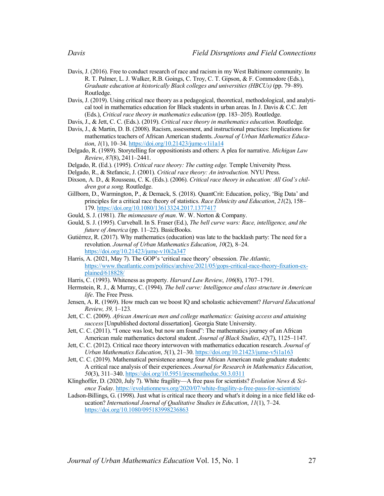- Davis, J. (2016). Free to conduct research of race and racism in my West Baltimore community. In R. T. Palmer, L. J. Walker, R.B. Goings, C. Troy, C. T. Gipson, & F. Commodore (Eds.), *Graduate education at historically Black colleges and universities (HBCUs)* (pp. 79–89). Routledge.
- Davis, J. (2019). Using critical race theory as a pedagogical, theoretical, methodological, and analytical tool in mathematics education for Black students in urban areas. In J. Davis & C.C. Jett (Eds.), *Critical race theory in mathematics education* (pp. 183–205). Routledge.
- Davis, J., & Jett, C. C. (Eds.). (2019). *Critical race theory in mathematics education*. Routledge.
- Davis, J., & Martin, D. B. (2008). Racism, assessment, and instructional practices: Implications for mathematics teachers of African American students. *Journal of Urban Mathematics Education*, *1*(1), 10–34. https://doi.org/10.21423/jume-v1i1a14
- Delgado, R. (1989). Storytelling for oppositionists and others: A plea for narrative. *Michigan Law Review*, *87*(8), 2411–2441.
- Delgado, R. (Ed.). (1995). *Critical race theory: The cutting edge.* Temple University Press.
- Delgado, R., & Stefancic, J. (2001). *Critical race theory: An introduction.* NYU Press.
- Dixson, A. D., & Rousseau, C. K. (Eds.). (2006). *Critical race theory in education: All God's children got a song.* Routledge.
- Gillborn, D., Warmington, P., & Demack, S. (2018). QuantCrit: Education, policy, 'Big Data' and principles for a critical race theory of statistics. *Race Ethnicity and Education*, *21*(2), 158– 179. https://doi.org/10.1080/13613324.2017.1377417
- Gould, S. J. (1981). *The mismeasure of man*. W. W. Norton & Company.
- Gould, S. J. (1995). Curveball. In S. Fraser (Ed.), *The bell curve wars: Race, intelligence, and the future of America* (pp. 11–22). BasicBooks.
- Gutiérrez, R. (2017). Why mathematics (education) was late to the backlash party: The need for a revolution. *Journal of Urban Mathematics Education*, *10*(2), 8–24. https://doi.org/10.21423/jume-v10i2a347
- Harris, A. (2021, May 7). The GOP's 'critical race theory' obsession. *The Atlantic,*  https://www.theatlantic.com/politics/archive/2021/05/gops-critical-race-theory-fixation-explained/618828/
- Harris, C. (1993). Whiteness as property. *Harvard Law Review*, *106*(8), 1707–1791.
- Herrnstein, R. J., & Murray, C. (1994). *The bell curve: Intelligence and class structure in American life*. The Free Press.
- Jensen, A. R. (1969). How much can we boost IQ and scholastic achievement? *Harvard Educational Review, 39,* 1–123*.*
- Jett, C. C. (2009). *African American men and college mathematics: Gaining access and attaining success* [Unpublished doctoral dissertation]. Georgia State University.
- Jett, C. C. (2011). "I once was lost, but now am found": The mathematics journey of an African American male mathematics doctoral student. *Journal of Black Studies*, *42*(7), 1125–1147.
- Jett, C. C. (2012). Critical race theory interwoven with mathematics education research. *Journal of Urban Mathematics Education*, *5*(1), 21–30. https://doi.org/10.21423/jume-v5i1a163
- Jett, C. C. (2019). Mathematical persistence among four African American male graduate students: A critical race analysis of their experiences. *Journal for Research in Mathematics Education*, *50*(3), 311–340. https://doi.org/10.5951/jresematheduc.50.3.0311
- Klinghoffer, D. (2020, July 7). White fragility—A free pass for scientists? *Evolution News & Science Today*. https://evolutionnews.org/2020/07/white-fragility-a-free-pass-for-scientists/
- Ladson-Billings, G. (1998). Just what is critical race theory and what's it doing in a nice field like education? *International Journal of Qualitative Studies in Education*, *11*(1), 7–24. https://doi.org/10.1080/095183998236863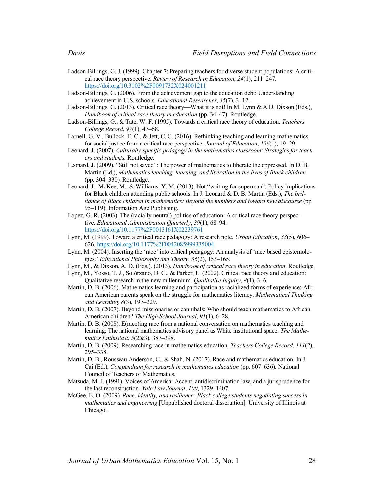- Ladson-Billings, G. J. (1999). Chapter 7: Preparing teachers for diverse student populations: A critical race theory perspective. *Review of Research in Education*, *24*(1), 211–247. https://doi.org/10.3102%2F0091732X024001211
- Ladson-Billings, G. (2006). From the achievement gap to the education debt: Understanding achievement in U.S. schools. *Educational Researcher*, *35*(7), 3–12.
- Ladson-Billings, G. (2013). Critical race theory—What it is not! In M. Lynn & A.D. Dixson (Eds.), *Handbook of critical race theory in education* (pp. 34–47). Routledge.
- Ladson-Billings, G., & Tate, W. F. (1995). Towards a critical race theory of education. *Teachers College Record*, *97*(1), 47–68.
- Larnell, G. V., Bullock, E. C., & Jett, C. C. (2016). Rethinking teaching and learning mathematics for social justice from a critical race perspective. *Journal of Education*, *196*(1), 19–29.
- Leonard, J. (2007). *Culturally specific pedagogy in the mathematics classroom: Strategies for teachers and students.* Routledge.
- Leonard, J. (2009). "Still not saved": The power of mathematics to liberate the oppressed. In D. B. Martin (Ed.), *Mathematics teaching, learning, and liberation in the lives of Black children* (pp. 304–330). Routledge.
- Leonard, J., McKee, M., & Williams, Y. M. (2013). Not "waiting for superman": Policy implications for Black children attending public schools. In J. Leonard & D. B. Martin (Eds.), *The brilliance of Black children in mathematics: Beyond the numbers and toward new discourse* (pp. 95–119). Information Age Publishing.
- Lopez, G. R. (2003). The (racially neutral) politics of education: A critical race theory perspective. *Educational Administration Quarterly*, *39*(1), 68–94. https://doi.org/10.1177%2F0013161X02239761
- Lynn, M. (1999). Toward a critical race pedagogy: A research note. *Urban Education*, *33*(5), 606– 626. https://doi.org/10.1177%2F0042085999335004
- Lynn, M. (2004). Inserting the 'race' into critical pedagogy: An analysis of 'race-based epistemologies.' *Educational Philosophy and Theory*, *36*(2), 153–165.
- Lynn, M., & Dixson, A. D. (Eds.). (2013). *Handbook of critical race theory in education*. Routledge.
- Lynn, M., Yosso, T. J., Solórzano, D. G., & Parker, L. (2002). Critical race theory and education: Qualitative research in the new millennium. *Qualitative Inquiry*, *8*(1), 3–6.
- Martin, D. B. (2006). Mathematics learning and participation as racialized forms of experience: African American parents speak on the struggle for mathematics literacy. *Mathematical Thinking and Learning*, *8*(3), 197–229.
- Martin, D. B. (2007). Beyond missionaries or cannibals: Who should teach mathematics to African American children? *The High School Journal*, *91*(1), 6–28.
- Martin, D. B. (2008). E(race)ing race from a national conversation on mathematics teaching and learning: The national mathematics advisory panel as White institutional space. *The Mathematics Enthusiast*, *5*(2&3), 387–398.
- Martin, D. B. (2009). Researching race in mathematics education. *Teachers College Record*, *111*(2), 295–338.
- Martin, D. B., Rousseau Anderson, C., & Shah, N. (2017). Race and mathematics education. In J. Cai (Ed.), *Compendium for research in mathematics education* (pp. 607–636). National Council of Teachers of Mathematics.
- Matsuda, M. J. (1991). Voices of America: Accent, antidiscrimination law, and a jurisprudence for the last reconstruction. *Yale Law Journal*, *100*, 1329–1407.
- McGee, E. O. (2009). *Race, identity, and resilience: Black college students negotiating success in mathematics and engineering* [Unpublished doctoral dissertation]. University of Illinois at Chicago.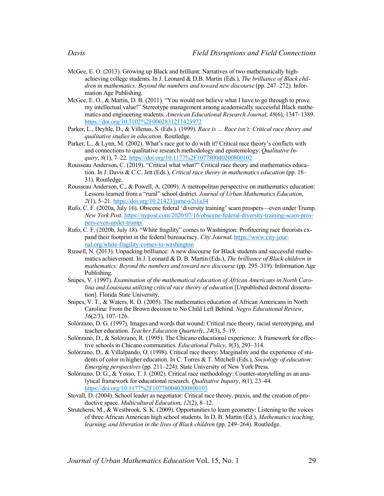- McGee, E. O. (2013). Growing up Black and brilliant: Narratives of two mathematically highachieving college students. In J. Leonard & D.B. Martin (Eds.), *The brilliance of Black children in mathematics: Beyond the numbers and toward new discourse* (pp. 247–272). Information Age Publishing.
- McGee, E. O., & Martin, D. B. (2011). "You would not believe what I have to go through to prove my intellectual value!" Stereotype management among academically successful Black mathematics and engineering students. *American Educational Research Journal*, *48*(6), 1347–1389. https://doi.org/10.3102%2F0002831211423972
- Parker, L., Deyhle, D., & Villenas, S. (Eds.). (1999). *Race is … Race isn't: Critical race theory and qualitative studies in education*. Routledge.
- Parker, L., & Lynn, M. (2002). What's race got to do with it? Critical race theory's conflicts with and connections to qualitative research methodology and epistemology. *Qualitative Inquiry*, *8*(1), 7–22. https://doi.org/10.1177%2F107780040200800102
- Rousseau Anderson, C. (2019). "Critical what what?" Critical race theory and mathematics education. In J. Davis & C.C. Jett (Eds.), *Critical race theory in mathematics education* (pp. 18– 31). Routledge.
- Rousseau Anderson, C., & Powell, A. (2009). A metropolitan perspective on mathematics education: Lessons learned from a "rural" school district. *Journal of Urban Mathematics Education*, *2*(1), 5–21. https://doi.org/10.21423/jume-v2i1a34
- Rufo, C. F. (2020a, July 16). Obscene federal 'diversity training' scam prospers—even under Trump. *New York Post*. https://nypost.com/2020/07/16/obscene-federal-diversity-training-scam-prospers-even-under-trump/
- Rufo, C. F. (2020b, July 18). "White fragility" comes to Washington: Profiteering race theorists expand their footprint in the federal bureaucracy. *City Journal*. https://www.city-journal.org/white-fragility-comes-to-washington
- Russell, N. (2013). Unpacking brilliance: A new discourse for Black students and successful mathematics achievement. In J. Leonard & D. B. Martin (Eds.), *The brilliance of Black children in mathematics: Beyond the numbers and toward new discourse* (pp. 295–319). Information Age Publishing.
- Snipes, V. (1997). *Examination of the mathematical education of African Americans in North Carolina and Louisiana utilizing critical race theory of education* [Unpublished doctoral dissertation]. Florida State University.
- Snipes, V. T., & Waters, R. D. (2005). The mathematics education of African Americans in North Carolina: From the Brown decision to No Child Left Behind. *Negro Educational Review*, *56*(2/3), 107–126.
- Solórzano, D. G. (1997). Images and words that wound: Critical race theory, racial stereotyping, and teacher education. *Teacher Education Quarterly*, *24*(3), 5–19.
- Solórzano, D., & Solórzano, R. (1995). The Chicano educational experience: A framework for effective schools in Chicano communities. *Educational Policy*, *9*(3), 293–314.
- Solórzano, D., & Villalpando, O. (1998). Critical race theory: Marginality and the experience of students of color in higher education. In C. Torres & T. Mitchell (Eds.), *Sociology of education: Emerging perspectives* (pp. 211–224). State University of New York Press.
- Solórzano, D. G., & Yosso, T. J. (2002). Critical race methodology: Counter-storytelling as an analytical framework for educational research. *Qualitative Inquiry*, *8*(1), 23–44. https://doi.org/10.1177%2F107780040200800103
- Stovall, D. (2004). School leader as negotiator: Critical race theory, praxis, and the creation of productive space. *Multicultural Education*, *12*(2), 8–12.
- Strutchens, M., & Westbrook, S. K. (2009). Opportunities to learn geometry: Listening to the voices of three African American high school students. In D. B. Martin (Ed.), *Mathematics teaching, learning, and liberation in the lives of Black children* (pp. 249–264). Routledge.